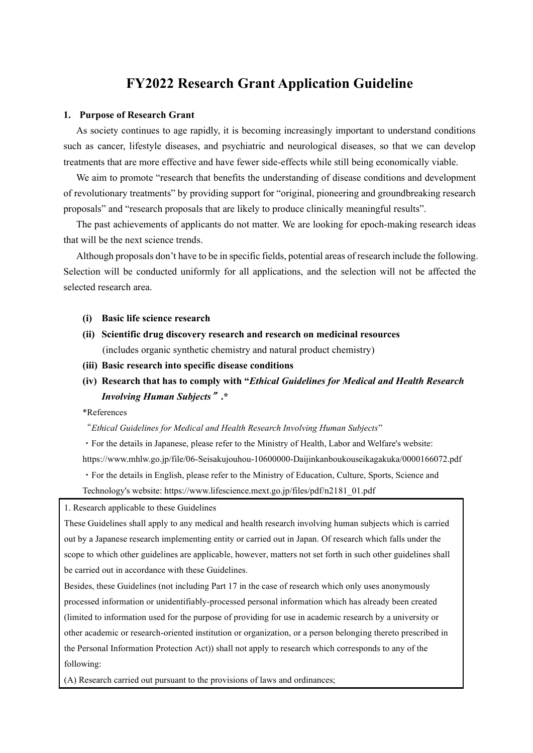# **FY2022 Research Grant Application Guideline**

#### **1. Purpose of Research Grant**

As society continues to age rapidly, it is becoming increasingly important to understand conditions such as cancer, lifestyle diseases, and psychiatric and neurological diseases, so that we can develop treatments that are more effective and have fewer side-effects while still being economically viable.

We aim to promote "research that benefits the understanding of disease conditions and development of revolutionary treatments" by providing support for "original, pioneering and groundbreaking research proposals" and "research proposals that are likely to produce clinically meaningful results".

The past achievements of applicants do not matter. We are looking for epoch-making research ideas that will be the next science trends.

Although proposals don't have to be in specific fields, potential areas of research include the following. Selection will be conducted uniformly for all applications, and the selection will not be affected the selected research area.

- **(i) Basic life science research**
- **(ii) Scientific drug discovery research and research on medicinal resources** (includes organic synthetic chemistry and natural product chemistry)
- **(iii) Basic research into specific disease conditions**
- **(iv) Research that has to comply with "***Ethical Guidelines for Medical and Health Research Involving Human Subjects*"**.\***

\*References

#### "*Ethical Guidelines for Medical and Health Research Involving Human Subjects*"

・For the details in Japanese, please refer to the Ministry of Health, Labor and Welfare's website: https://www.mhlw.go.jp/file/06-Seisakujouhou-10600000-Daijinkanboukouseikagakuka/0000166072.pdf ・For the details in English, please refer to the Ministry of Education, Culture, Sports, Science and Technology's website: https://www.lifescience.mext.go.jp/files/pdf/n2181\_01.pdf

1. Research applicable to these Guidelines

These Guidelines shall apply to any medical and health research involving human subjects which is carried out by a Japanese research implementing entity or carried out in Japan. Of research which falls under the scope to which other guidelines are applicable, however, matters not set forth in such other guidelines shall be carried out in accordance with these Guidelines.

Besides, these Guidelines (not including Part 17 in the case of research which only uses anonymously processed information or unidentifiably-processed personal information which has already been created (limited to information used for the purpose of providing for use in academic research by a university or other academic or research-oriented institution or organization, or a person belonging thereto prescribed in the Personal Information Protection Act)) shall not apply to research which corresponds to any of the following:

(A) Research carried out pursuant to the provisions of laws and ordinances;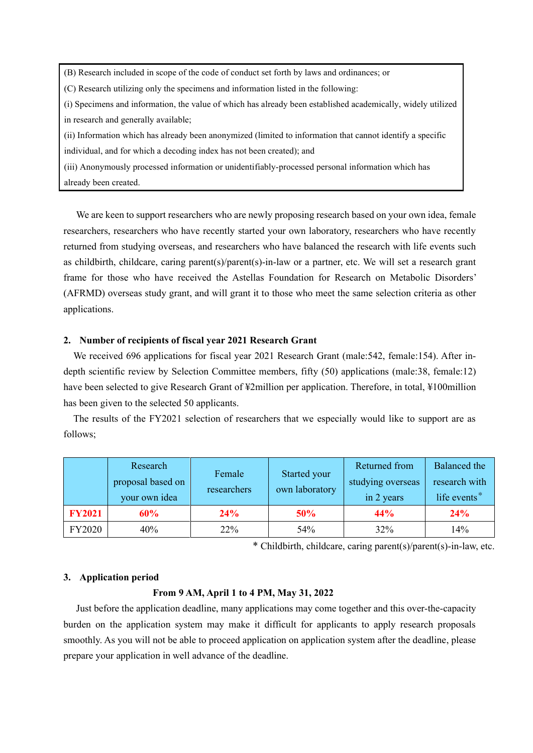(B) Research included in scope of the code of conduct set forth by laws and ordinances; or

(C) Research utilizing only the specimens and information listed in the following:

(i) Specimens and information, the value of which has already been established academically, widely utilized in research and generally available;

(ii) Information which has already been anonymized (limited to information that cannot identify a specific individual, and for which a decoding index has not been created); and

(iii) Anonymously processed information or unidentifiably-processed personal information which has already been created.

We are keen to support researchers who are newly proposing research based on your own idea, female researchers, researchers who have recently started your own laboratory, researchers who have recently returned from studying overseas, and researchers who have balanced the research with life events such as childbirth, childcare, caring parent(s)/parent(s)-in-law or a partner, etc. We will set a research grant frame for those who have received the Astellas Foundation for Research on Metabolic Disorders' (AFRMD) overseas study grant, and will grant it to those who meet the same selection criteria as other applications.

## **2. Number of recipients of fiscal year 2021 Research Grant**

We received 696 applications for fiscal year 2021 Research Grant (male:542, female:154). After indepth scientific review by Selection Committee members, fifty (50) applications (male:38, female:12) have been selected to give Research Grant of ¥2million per application. Therefore, in total, ¥100million has been given to the selected 50 applicants.

The results of the FY2021 selection of researchers that we especially would like to support are as follows;

|               | Research<br>proposal based on<br>your own idea | Female<br>researchers | Started your<br>own laboratory | Returned from<br>studying overseas<br>in 2 years | Balanced the<br>research with<br>life events* |
|---------------|------------------------------------------------|-----------------------|--------------------------------|--------------------------------------------------|-----------------------------------------------|
| <b>FY2021</b> | 60%                                            | 24%                   | 50%                            | 44%                                              | 24%                                           |
| FY2020        | 40%                                            | 22%                   | 54%                            | 32%                                              | 14%                                           |

\* Childbirth, childcare, caring parent(s)/parent(s)-in-law, etc.

#### **3. Application period**

## **From 9 AM, April 1 to 4 PM, May 31, 2022**

Just before the application deadline, many applications may come together and this over-the-capacity burden on the application system may make it difficult for applicants to apply research proposals smoothly. As you will not be able to proceed application on application system after the deadline, please prepare your application in well advance of the deadline.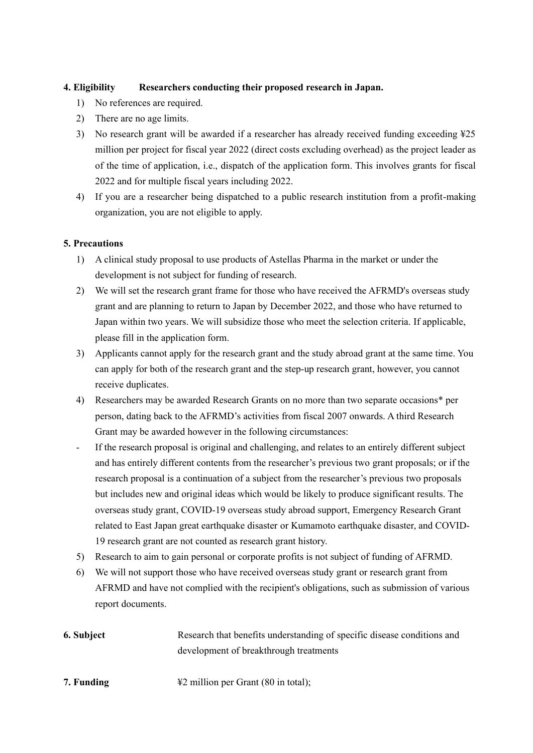## **4. Eligibility Researchers conducting their proposed research in Japan.**

- 1) No references are required.
- 2) There are no age limits.
- 3) No research grant will be awarded if a researcher has already received funding exceeding  $\frac{125}{5}$ million per project for fiscal year 2022 (direct costs excluding overhead) as the project leader as of the time of application, i.e., dispatch of the application form. This involves grants for fiscal 2022 and for multiple fiscal years including 2022.
- 4) If you are a researcher being dispatched to a public research institution from a profit-making organization, you are not eligible to apply.

## **5. Precautions**

- 1) A clinical study proposal to use products of Astellas Pharma in the market or under the development is not subject for funding of research.
- 2) We will set the research grant frame for those who have received the AFRMD's overseas study grant and are planning to return to Japan by December 2022, and those who have returned to Japan within two years. We will subsidize those who meet the selection criteria. If applicable, please fill in the application form.
- 3) Applicants cannot apply for the research grant and the study abroad grant at the same time. You can apply for both of the research grant and the step-up research grant, however, you cannot receive duplicates.
- 4) Researchers may be awarded Research Grants on no more than two separate occasions\* per person, dating back to the AFRMD's activities from fiscal 2007 onwards. A third Research Grant may be awarded however in the following circumstances:
- If the research proposal is original and challenging, and relates to an entirely different subject and has entirely different contents from the researcher's previous two grant proposals; or if the research proposal is a continuation of a subject from the researcher's previous two proposals but includes new and original ideas which would be likely to produce significant results. The overseas study grant, COVID-19 overseas study abroad support, Emergency Research Grant related to East Japan great earthquake disaster or Kumamoto earthquake disaster, and COVID-19 research grant are not counted as research grant history.
- 5) Research to aim to gain personal or corporate profits is not subject of funding of AFRMD.
- 6) We will not support those who have received overseas study grant or research grant from AFRMD and have not complied with the recipient's obligations, such as submission of various report documents.
- **6. Subject** Research that benefits understanding of specific disease conditions and development of breakthrough treatments
- **7. Funding** ¥2 million per Grant (80 in total);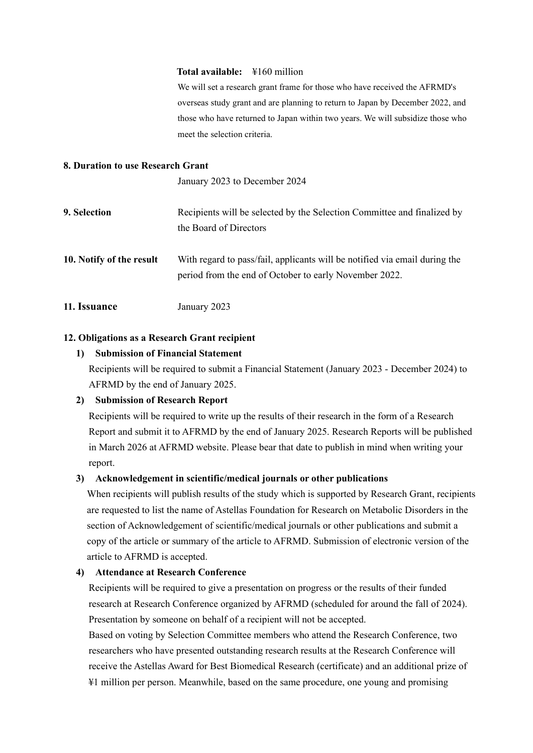#### **Total available:** ¥160 million

We will set a research grant frame for those who have received the AFRMD's overseas study grant and are planning to return to Japan by December 2022, and those who have returned to Japan within two years. We will subsidize those who meet the selection criteria.

#### **8. Duration to use Research Grant**

January 2023 to December 2024

- **9. Selection** Recipients will be selected by the Selection Committee and finalized by the Board of Directors
- **10. Notify of the result** With regard to pass/fail, applicants will be notified via email during the period from the end of October to early November 2022.
- **11. Issuance** January 2023

### **12. Obligations as a Research Grant recipient**

#### **1) Submission of Financial Statement**

Recipients will be required to submit a Financial Statement (January 2023 - December 2024) to AFRMD by the end of January 2025.

#### **2) Submission of Research Report**

Recipients will be required to write up the results of their research in the form of a Research Report and submit it to AFRMD by the end of January 2025. Research Reports will be published in March 2026 at AFRMD website. Please bear that date to publish in mind when writing your report.

#### **3) Acknowledgement in scientific/medical journals or other publications**

When recipients will publish results of the study which is supported by Research Grant, recipients are requested to list the name of Astellas Foundation for Research on Metabolic Disorders in the section of Acknowledgement of scientific/medical journals or other publications and submit a copy of the article or summary of the article to AFRMD. Submission of electronic version of the article to AFRMD is accepted.

## **4) Attendance at Research Conference**

Recipients will be required to give a presentation on progress or the results of their funded research at Research Conference organized by AFRMD (scheduled for around the fall of 2024). Presentation by someone on behalf of a recipient will not be accepted.

Based on voting by Selection Committee members who attend the Research Conference, two researchers who have presented outstanding research results at the Research Conference will receive the Astellas Award for Best Biomedical Research (certificate) and an additional prize of ¥1 million per person. Meanwhile, based on the same procedure, one young and promising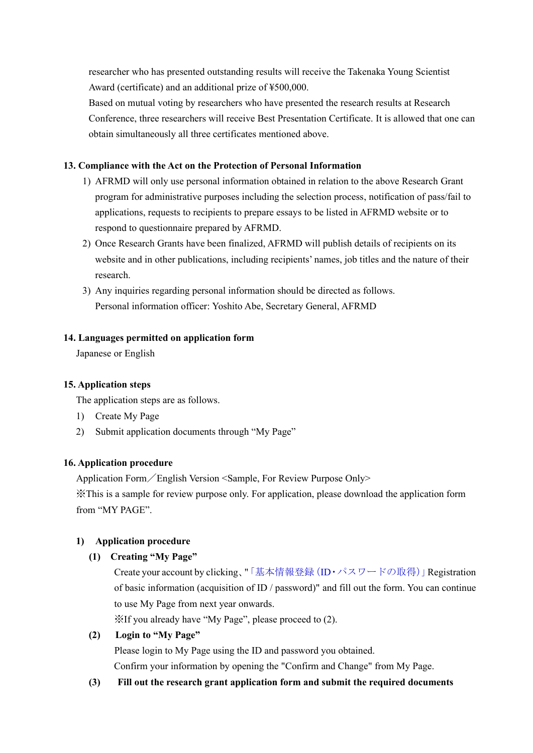researcher who has presented outstanding results will receive the Takenaka Young Scientist Award (certificate) and an additional prize of ¥500,000.

Based on mutual voting by researchers who have presented the research results at Research Conference, three researchers will receive Best Presentation Certificate. It is allowed that one can obtain simultaneously all three certificates mentioned above.

## **13. Compliance with the Act on the Protection of Personal Information**

- 1) AFRMD will only use personal information obtained in relation to the above Research Grant program for administrative purposes including the selection process, notification of pass/fail to applications, requests to recipients to prepare essays to be listed in AFRMD website or to respond to questionnaire prepared by AFRMD.
- 2) Once Research Grants have been finalized, AFRMD will publish details of recipients on its website and in other publications, including recipients' names, job titles and the nature of their research.
- 3) Any inquiries regarding personal information should be directed as follows. Personal information officer: Yoshito Abe, Secretary General, AFRMD

#### **14. Languages permitted on application form**

Japanese or English

#### **15. Application steps**

The application steps are as follows.

- 1) Create My Page
- 2) Submit application documents through "My Page"

#### **16. Application procedure**

Application Form/English Version <Sample, For Review Purpose Only>

※This is a sample for review purpose only. For application, please download the application form from "MY PAGE".

#### **1) Application procedure**

#### **(1) Creating "My Page"**

Create your account by clicking、"「基本情報登録(ID・パスワードの取得)」Registration of basic information (acquisition of ID / password)" and fill out the form. You can continue to use My Page from next year onwards.

※If you already have "My Page", please proceed to (2).

### **(2) Login to "My Page"**

Please login to My Page using the ID and password you obtained.

Confirm your information by opening the "Confirm and Change" from My Page.

#### **(3) Fill out the research grant application form and submit the required documents**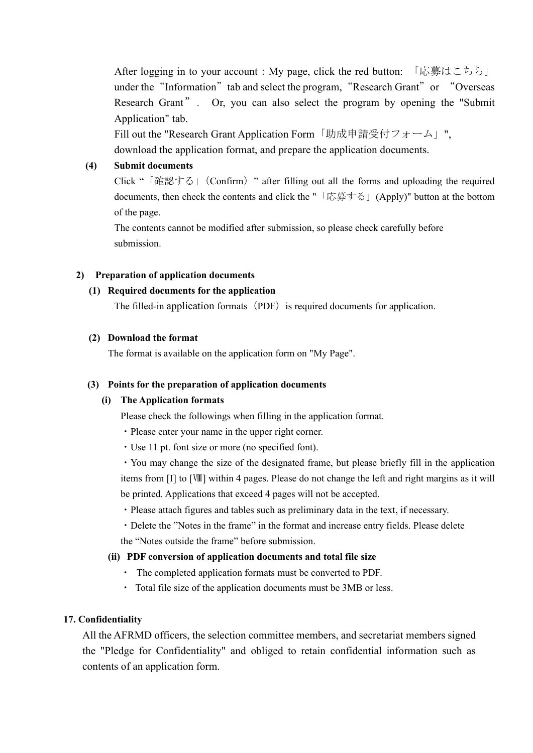After logging in to your account : My page, click the red button: 「応募はこちら」 under the "Information" tab and select the program, "Research Grant" or "Overseas Research Grant". Or, you can also select the program by opening the "Submit" Application" tab.

Fill out the "Research Grant Application Form「助成申請受付フォーム」", download the application format, and prepare the application documents.

## **(4) Submit documents**

Click "「確認する」(Confirm)" after filling out all the forms and uploading the required documents, then check the contents and click the "「応募する」(Apply)" button at the bottom of the page.

The contents cannot be modified after submission, so please check carefully before submission.

## **2) Preparation of application documents**

## **(1) Required documents for the application**

The filled-in application formats (PDF) is required documents for application.

## **(2) Download the format**

The format is available on the application form on "My Page".

#### **(3) Points for the preparation of application documents**

#### **(i) The Application formats**

Please check the followings when filling in the application format.

- ・Please enter your name in the upper right corner.
- ・Use 11 pt. font size or more (no specified font).

・You may change the size of the designated frame, but please briefly fill in the application items from [I] to [Ⅷ] within 4 pages. Please do not change the left and right margins as it will be printed. Applications that exceed 4 pages will not be accepted.

・Please attach figures and tables such as preliminary data in the text, if necessary.

・Delete the "Notes in the frame" in the format and increase entry fields. Please delete the "Notes outside the frame" before submission.

#### **(ii) PDF conversion of application documents and total file size**

- ・ The completed application formats must be converted to PDF.
- ・ Total file size of the application documents must be 3MB or less.

## **17. Confidentiality**

All the AFRMD officers, the selection committee members, and secretariat members signed the "Pledge for Confidentiality" and obliged to retain confidential information such as contents of an application form.